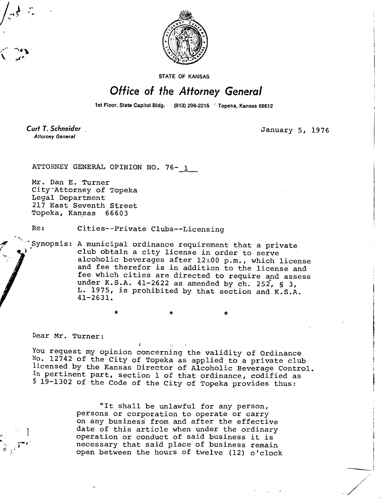

STATE OF KANSAS

## Office of the Attorney General

1st Floor, State Capitol Bldg. (913) 296-2215 <sup>o</sup> Topeka, Kansas 66612

Curt T. Schneider **Attorney General** 

January 5, 1976

ATTORNEY GENERAL OPINION NO. 76- 1

Mr. Dan E. Turner City Attorney of Topeka Legal Department 217 East Seventh Street Topeka, Kansas 66603

Re: Cities--Private Clubs--Licensing

Synopsis: A municipal ordinance requirement that a private club obtain a city license in order to serve alcoholic beverages after 12:00 p.m., which license and fee therefor is in addition to the license and fee which cities are directed to require and assess under K.S.A. 41-2622 as amended by  $ch. 252$ , § 3, L. 1975, is prohibited by that section and K.S.A. 41-2631.

 $\star$   $\star$   $\star$   $\star$ 

Dear Mr. Turner:

You request my opinion concerning the validity of Ordinance No. 12742 of the City of Topeka as applied to a private club licensed by the Kansas Director of Alcoholic Beverage Control. In pertinent part, section 1 of that ordinance, codified as § 19-1302 of the Code of the City of Topeka provides thus:

> "It shall be unlawful for any person, persons or corporation to operate or carry on any business from and after the effective date of this article when under the ordinary operation or conduct of said business it is necessary that said place of business remain open between the hours of twelve (12) o'clock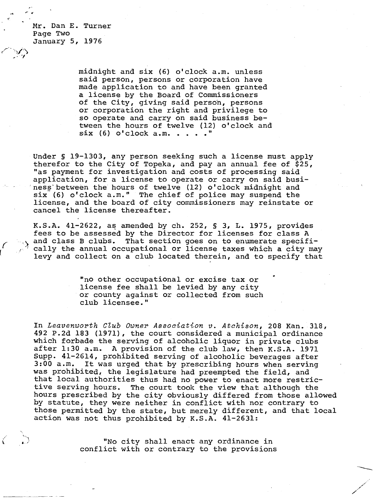Mr. Dan E. Turner Page Two January 5, 1976

> midnight and six (6) o'clock a.m. unless said person, persons or corporation have made application to and have been granted a license by the Board of Commissioners of the City, giving said person, persons or corporation the right and privilege to so operate and carry on said business between the hours of twelve (12) o'clock and six  $(6)$  o'clock a.m. . . . . "

Under § 19-1303, any person seeking such a license must apply therefor to the City of Topeka, and pay an annual fee of \$25, "as payment for investigation and costs of processing said application, for a license to operate or carry on said business between the hours of twelve (12) o'clock midnight and six (6) o'clock a.m." The chief of police may suspend the license, and the board of city commissioners may reinstate or cancel the license thereafter.

K.S.A. 41-2622, as amended by ch. 252, § 3, L. 1975, provides fees to be assessed by the Director for licenses for class A and class B clubs. That section goes on to enumerate specifically the annual occupational or license taxes which a city may levy and collect on a club located therein, and to specify that

> "no other occupational or excise tax or license fee shall be levied by any city or county against or collected from such club licensee."

In Leavenworth Club Owner Association v. Atchison, 208 Kan. 318, 492 P.2d 183 (1971), the court considered a municipal ordinance which forbade the serving of alcoholic liquor in private clubs after 1:30 a.m. A provision of the club law, then K.S.A. 1971 Supp. 41-2614, prohibited serving of alcoholic beverages after 3:00 a.m. It was urged that by prescribing hours when serving was prohibited, the legislature had preempted the field, and that local authorities thus had no power to enact more restrictive serving hours. The court took the view that although the hours prescribed by the city obviously differed from those allowed by statute, they were neither in conflict with nor contrary to those permitted by the state, but merely different, and that local action was not thus prohibited by K.S.A. 41-2631:

> "No city shall enact any ordinance in conflict with or contrary to the provisions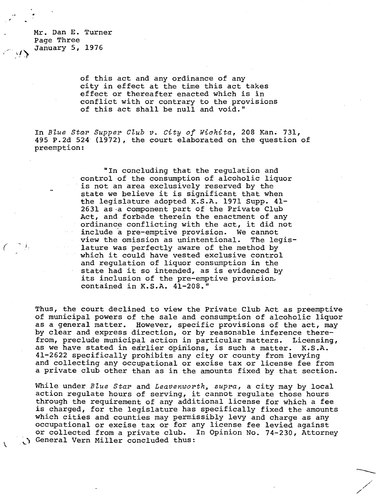Mr. Dan E. Turner Page Three January 5, 1976

> of this act and any ordinance of any city in effect at the time this act takes effect or thereafter enacted which is in conflict with or contrary to the provisions of this act shall be null and void."

In Blue Star Supper Club v. City of Wichita, 208 Kan. 731, 495 P.2d 524 (1972), the court elaborated on the question of preemption:

> "In concluding that the regulation and control of the consumption of alcoholic liquor is not an area exclusively reserved by the state we believe it is significant that when the legislature adopted K.S.A. 1971 Supp. 41- 2631 as a component part of the Private Club Act, and forbade therein the enactment of any ordinance conflicting with the act, it did not include a pre-emptive provision. We cannot<br>view the omission as unintentional. The legisview the omission as unintentional. lature was perfectly aware of the method by which it could have vested exclusive control and regulation of liquor consumption in the state had it so intended, as is evidenced by its inclusion of the pre-emptive provision, contained in K.S.A. 41-208."

Thus, the court declined to view the Private Club Act as preemptive of municipal powers of the sale and consumption of alcoholic liquor as a general matter. However, specific provisions of the act, may by clear and express direction, or by reasonable inference therefrom, preclude municipal action in particular matters. Licensing, as we have stated in earlier opinions, is such a matter. K.S.A. 41-2622 specifically prohibits any city or county from levying and collecting any occupational or excise tax or license fee from a private club other than as in the amounts fixed by that section.

While under Blue Star and Leavenworth, supra, a city may by local action regulate hours of serving, it cannot regulate those hours through the requirement of any additional license for which a fee is charged, for the legislature has specifically fixed the amounts which cities and counties may permissibly levy and charge as any occupational or excise tax or for any license fee levied against or collected from a private club. In Opinion No. 74-230, Attorney General Vern Miller concluded thus: